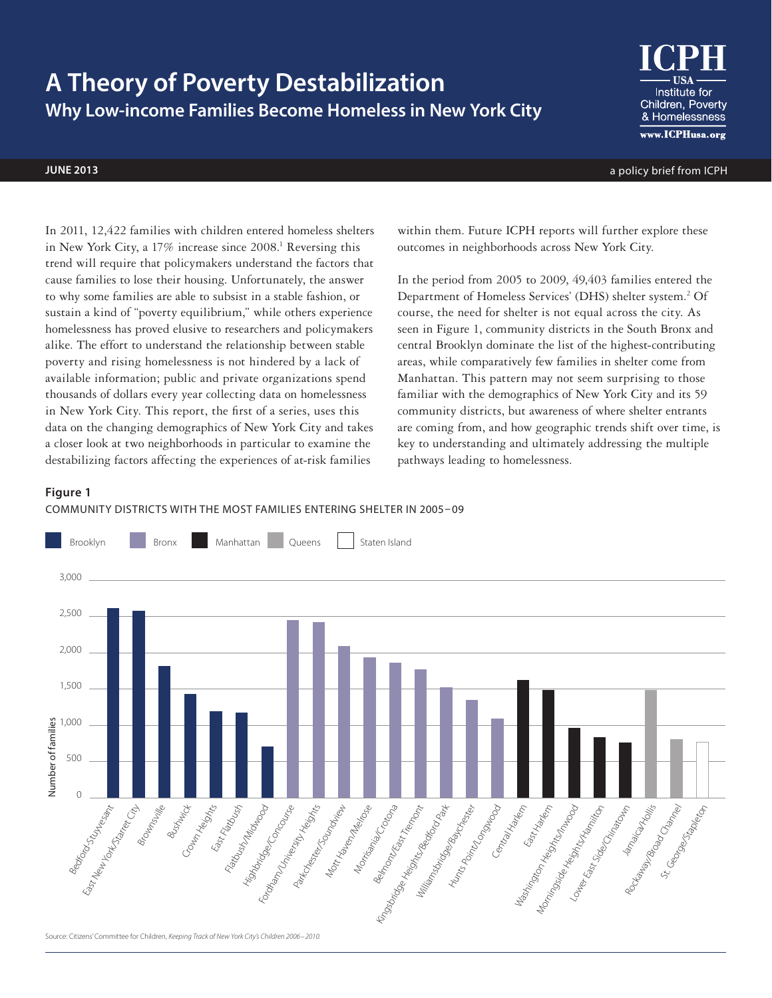# **A Theory of Poverty Destabilization Why Low-income Families Become Homeless in New York City**



**june 2013** a policy brief from ICPH

In 2011, 12,422 families with children entered homeless shelters in New York City, a 17% increase since 2008.<sup>1</sup> Reversing this trend will require that policymakers understand the factors that cause families to lose their housing. Unfortunately, the answer to why some families are able to subsist in a stable fashion, or sustain a kind of "poverty equilibrium," while others experience homelessness has proved elusive to researchers and policymakers alike. The effort to understand the relationship between stable poverty and rising homelessness is not hindered by a lack of available information; public and private organizations spend thousands of dollars every year collecting data on homelessness in New York City. This report, the first of a series, uses this data on the changing demographics of New York City and takes a closer look at two neighborhoods in particular to examine the destabilizing factors affecting the experiences of at-risk families

within them. Future ICPH reports will further explore these outcomes in neighborhoods across New York City.

In the period from 2005 to 2009, 49,403 families entered the Department of Homeless Services' (DHS) shelter system.<sup>2</sup> Of course, the need for shelter is not equal across the city. As seen in Figure 1, community districts in the South Bronx and central Brooklyn dominate the list of the highest-contributing areas, while comparatively few families in shelter come from Manhattan. This pattern may not seem surprising to those familiar with the demographics of New York City and its 59 community districts, but awareness of where shelter entrants are coming from, and how geographic trends shift over time, is key to understanding and ultimately addressing the multiple pathways leading to homelessness.

# **Figure 1**



## COMMUNITY DISTRICTS WITH THE MOST FAMILIES ENTERING SHELTER IN 2005 – 09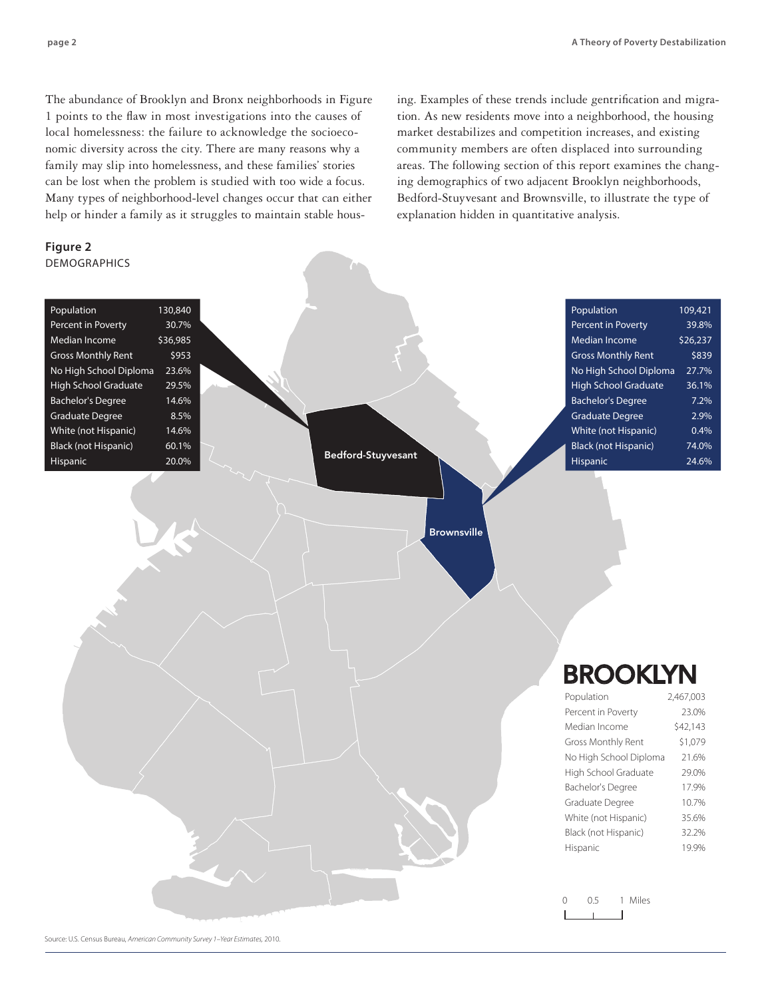The abundance of Brooklyn and Bronx neighborhoods in Figure 1 points to the flaw in most investigations into the causes of local homelessness: the failure to acknowledge the socioeconomic diversity across the city. There are many reasons why a family may slip into homelessness, and these families' stories can be lost when the problem is studied with too wide a focus. Many types of neighborhood-level changes occur that can either help or hinder a family as it struggles to maintain stable hous-

Source: U.S. Census Bureau, *American Community Survey 1–Year Estimates,* 2010.

**Figure 2**

**DEMOGRAPHICS** 

ing. Examples of these trends include gentrification and migration. As new residents move into a neighborhood, the housing market destabilizes and competition increases, and existing community members are often displaced into surrounding areas. The following section of this report examines the changing demographics of two adjacent Brooklyn neighborhoods, Bedford-Stuyvesant and Brownsville, to illustrate the type of explanation hidden in quantitative analysis.

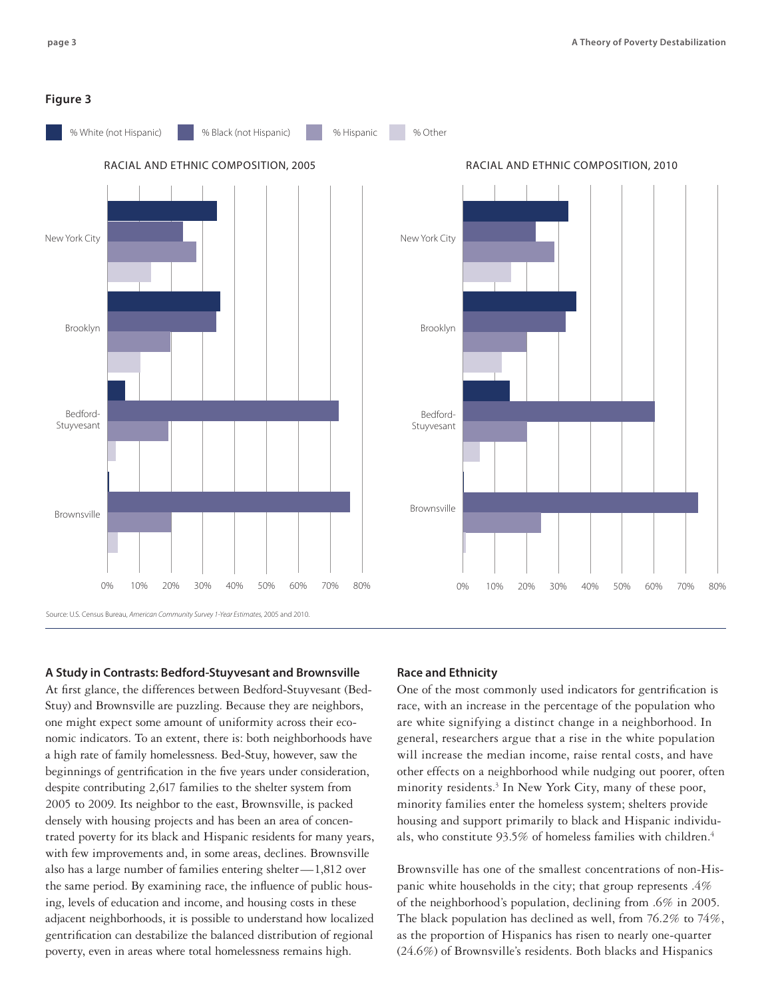#### **Figure 3**



## **A Study in Contrasts: Bedford-Stuyvesant and Brownsville**

At first glance, the differences between Bedford-Stuyvesant (Bed-Stuy) and Brownsville are puzzling. Because they are neighbors, one might expect some amount of uniformity across their economic indicators. To an extent, there is: both neighborhoods have a high rate of family homelessness. Bed-Stuy, however, saw the beginnings of gentrification in the five years under consideration, despite contributing 2,617 families to the shelter system from 2005 to 2009. Its neighbor to the east, Brownsville, is packed densely with housing projects and has been an area of concentrated poverty for its black and Hispanic residents for many years, with few improvements and, in some areas, declines. Brownsville also has a large number of families entering shelter—1,812 over the same period. By examining race, the influence of public housing, levels of education and income, and housing costs in these adjacent neighborhoods, it is possible to understand how localized gentrification can destabilize the balanced distribution of regional poverty, even in areas where total homelessness remains high.

## **Race and Ethnicity**

One of the most commonly used indicators for gentrification is race, with an increase in the percentage of the population who are white signifying a distinct change in a neighborhood. In general, researchers argue that a rise in the white population will increase the median income, raise rental costs, and have other effects on a neighborhood while nudging out poorer, often minority residents.3 In New York City, many of these poor, minority families enter the homeless system; shelters provide housing and support primarily to black and Hispanic individuals, who constitute 93.5% of homeless families with children.4

Brownsville has one of the smallest concentrations of non-Hispanic white households in the city; that group represents .4% of the neighborhood's population, declining from .6% in 2005. The black population has declined as well, from 76.2% to 74%, as the proportion of Hispanics has risen to nearly one-quarter (24.6%) of Brownsville's residents. Both blacks and Hispanics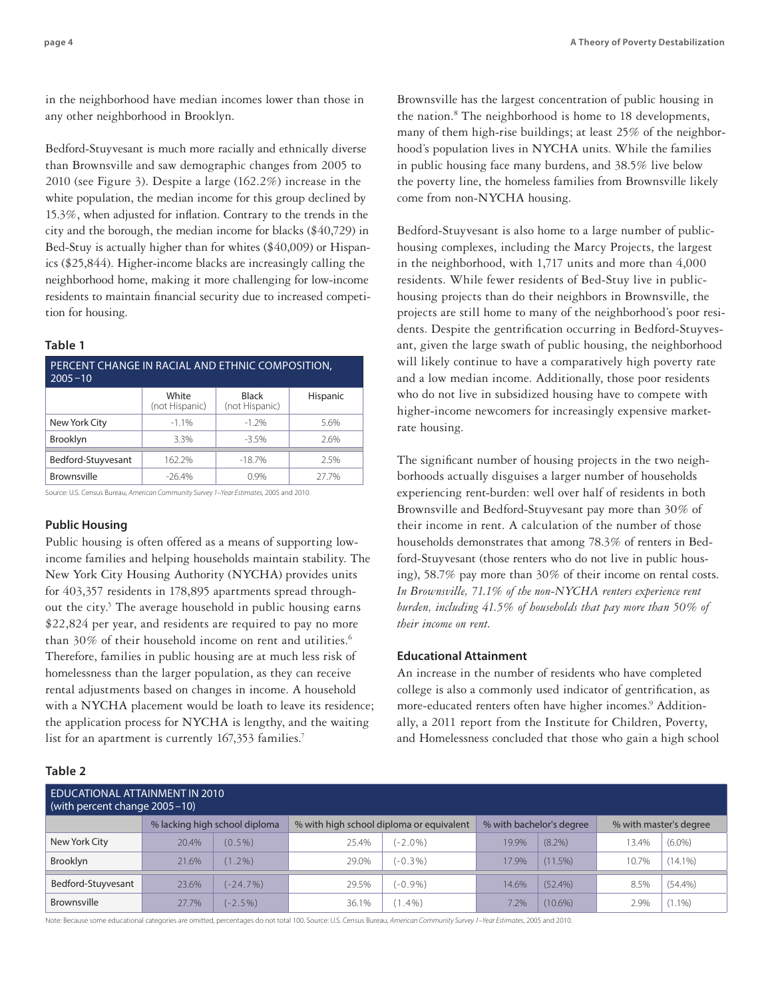in the neighborhood have median incomes lower than those in any other neighborhood in Brooklyn.

Bedford-Stuyvesant is much more racially and ethnically diverse than Brownsville and saw demographic changes from 2005 to 2010 (see Figure 3). Despite a large (162.2%) increase in the white population, the median income for this group declined by 15.3%, when adjusted for inflation. Contrary to the trends in the city and the borough, the median income for blacks (\$40,729) in Bed-Stuy is actually higher than for whites (\$40,009) or Hispanics (\$25,844). Higher-income blacks are increasingly calling the neighborhood home, making it more challenging for low-income residents to maintain financial security due to increased competition for housing.

#### **Table 1**

| PERCENT CHANGE IN RACIAL AND ETHNIC COMPOSITION,<br>$2005 - 10$ |                         |                         |          |  |
|-----------------------------------------------------------------|-------------------------|-------------------------|----------|--|
|                                                                 | White<br>(not Hispanic) | Black<br>(not Hispanic) | Hispanic |  |
| New York City                                                   | $-1.1%$                 | $-1.2%$                 | 5.6%     |  |
| <b>Brooklyn</b>                                                 | 3.3%                    | $-3.5%$                 | 2.6%     |  |
| Bedford-Stuyvesant                                              | 162.2%                  | $-18.7%$                | 2.5%     |  |
| Brownsville                                                     | $-26.4%$                | 0.9%                    | 27.7%    |  |

Source: U.S. Census Bureau, *American Community Survey 1–Year Estimates,* 2005 and 2010.

## **Public Housing**

Public housing is often offered as a means of supporting lowincome families and helping households maintain stability. The New York City Housing Authority (NYCHA) provides units for 403,357 residents in 178,895 apartments spread throughout the city.<sup>5</sup> The average household in public housing earns \$22,824 per year, and residents are required to pay no more than 30% of their household income on rent and utilities.<sup>6</sup> Therefore, families in public housing are at much less risk of homelessness than the larger population, as they can receive rental adjustments based on changes in income. A household with a NYCHA placement would be loath to leave its residence; the application process for NYCHA is lengthy, and the waiting list for an apartment is currently 167,353 families.<sup>7</sup>

# **Table 2**

Brownsville has the largest concentration of public housing in the nation.<sup>8</sup> The neighborhood is home to 18 developments, many of them high-rise buildings; at least 25% of the neighborhood's population lives in NYCHA units. While the families in public housing face many burdens, and 38.5% live below the poverty line, the homeless families from Brownsville likely come from non-NYCHA housing.

Bedford-Stuyvesant is also home to a large number of publichousing complexes, including the Marcy Projects, the largest in the neighborhood, with 1,717 units and more than 4,000 residents. While fewer residents of Bed-Stuy live in publichousing projects than do their neighbors in Brownsville, the projects are still home to many of the neighborhood's poor residents. Despite the gentrification occurring in Bedford-Stuyvesant, given the large swath of public housing, the neighborhood will likely continue to have a comparatively high poverty rate and a low median income. Additionally, those poor residents who do not live in subsidized housing have to compete with higher-income newcomers for increasingly expensive marketrate housing.

The significant number of housing projects in the two neighborhoods actually disguises a larger number of households experiencing rent-burden: well over half of residents in both Brownsville and Bedford-Stuyvesant pay more than 30% of their income in rent. A calculation of the number of those households demonstrates that among 78.3% of renters in Bedford-Stuyvesant (those renters who do not live in public housing), 58.7% pay more than 30% of their income on rental costs. *In Brownsville, 71.1% of the non-NYCHA renters experience rent burden, including 41.5% of households that pay more than 50% of their income on rent.*

### **Educational Attainment**

An increase in the number of residents who have completed college is also a commonly used indicator of gentrification, as more-educated renters often have higher incomes.<sup>9</sup> Additionally, a 2011 report from the Institute for Children, Poverty, and Homelessness concluded that those who gain a high school

| EDUCATIONAL ATTAINMENT IN 2010<br>(with percent change 2005-10) |       |                               |                                          |            |                          |            |                        |            |
|-----------------------------------------------------------------|-------|-------------------------------|------------------------------------------|------------|--------------------------|------------|------------------------|------------|
|                                                                 |       | % lacking high school diploma | % with high school diploma or equivalent |            | % with bachelor's degree |            | % with master's degree |            |
| New York City                                                   | 20.4% | $(0.5\%)$                     | 25.4%                                    | $(-2.0\%)$ | 19.9%                    | $(8.2\%)$  | 13.4%                  | $(6.0\%)$  |
| Brooklyn                                                        | 21.6% | $(1.2\%)$                     | 29.0%                                    | $(-0.3\%)$ | 17.9%                    | $(11.5\%)$ | 10.7%                  | $(14.1\%)$ |
| Bedford-Stuyvesant                                              | 23.6% | $(-24.7%)$                    | 29.5%                                    | $(-0.9\%)$ | 14.6%                    | $(52.4\%)$ | 8.5%                   | $(54.4\%)$ |
| Brownsville                                                     | 27.7% | $(-2.5%)$                     | 36.1%                                    | $(1.4\%)$  | 7.2%                     | $(10.6\%)$ | 2.9%                   | $(1.1\%)$  |

Note: Because some educational categories are omitted, percentages do not total 100. Source: U.S. Census Bureau, *American Community Survey 1–Year Estimates*, 2005 and 2010.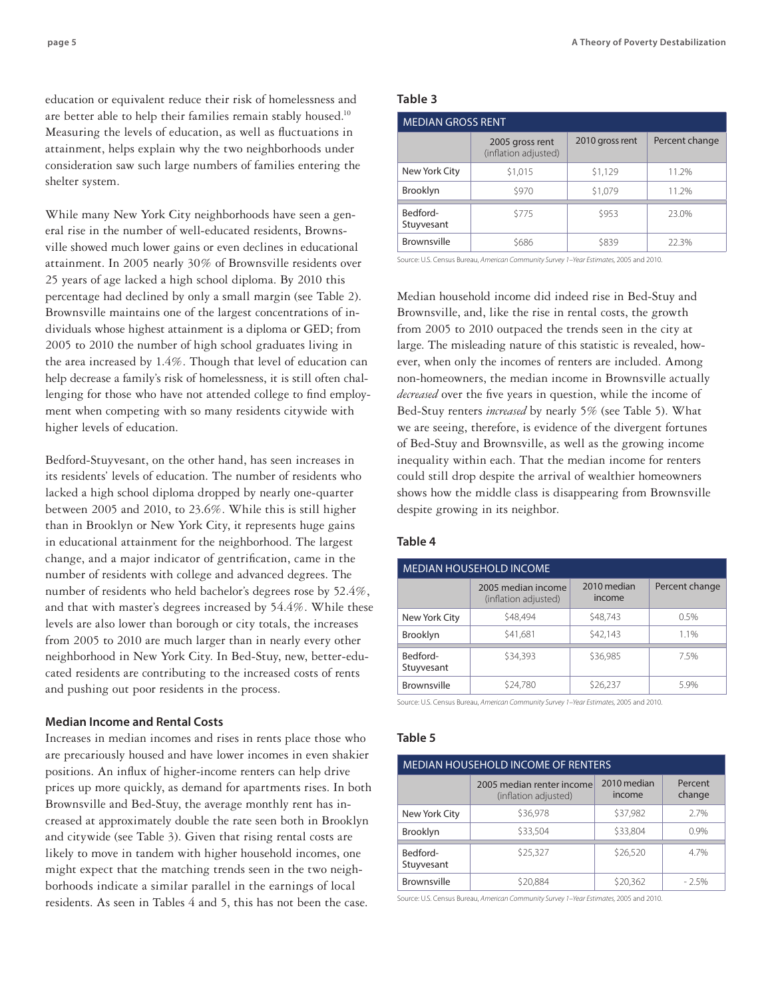education or equivalent reduce their risk of homelessness and are better able to help their families remain stably housed.<sup>10</sup> Measuring the levels of education, as well as fluctuations in attainment, helps explain why the two neighborhoods under consideration saw such large numbers of families entering the shelter system.

While many New York City neighborhoods have seen a general rise in the number of well-educated residents, Brownsville showed much lower gains or even declines in educational attainment. In 2005 nearly 30% of Brownsville residents over 25 years of age lacked a high school diploma. By 2010 this percentage had declined by only a small margin (see Table 2). Brownsville maintains one of the largest concentrations of individuals whose highest attainment is a diploma or GED; from 2005 to 2010 the number of high school graduates living in the area increased by 1.4%. Though that level of education can help decrease a family's risk of homelessness, it is still often challenging for those who have not attended college to find employment when competing with so many residents citywide with higher levels of education.

Bedford-Stuyvesant, on the other hand, has seen increases in its residents' levels of education. The number of residents who lacked a high school diploma dropped by nearly one-quarter between 2005 and 2010, to 23.6%. While this is still higher than in Brooklyn or New York City, it represents huge gains in educational attainment for the neighborhood. The largest change, and a major indicator of gentrification, came in the number of residents with college and advanced degrees. The number of residents who held bachelor's degrees rose by 52.4%, and that with master's degrees increased by 54.4%. While these levels are also lower than borough or city totals, the increases from 2005 to 2010 are much larger than in nearly every other neighborhood in New York City. In Bed-Stuy, new, better-educated residents are contributing to the increased costs of rents and pushing out poor residents in the process.

#### **Median Income and Rental Costs**

Increases in median incomes and rises in rents place those who are precariously housed and have lower incomes in even shakier positions. An influx of higher-income renters can help drive prices up more quickly, as demand for apartments rises. In both Brownsville and Bed-Stuy, the average monthly rent has increased at approximately double the rate seen both in Brooklyn and citywide (see Table 3). Given that rising rental costs are likely to move in tandem with higher household incomes, one might expect that the matching trends seen in the two neighborhoods indicate a similar parallel in the earnings of local residents. As seen in Tables 4 and 5, this has not been the case.

# **Table 3**

| <b>MEDIAN GROSS RENT</b> |                                         |                 |                |  |
|--------------------------|-----------------------------------------|-----------------|----------------|--|
|                          | 2005 gross rent<br>(inflation adjusted) | 2010 gross rent | Percent change |  |
| New York City            | \$1,015                                 | \$1,129         | 11.2%          |  |
| <b>Brooklyn</b>          | \$970                                   | \$1,079         | 11.2%          |  |
| Bedford-<br>Stuyvesant   | \$775                                   | \$953           | 23.0%          |  |
| Brownsville              | \$686                                   | \$839           | 22.3%          |  |

Source: U.S. Census Bureau, *American Community Survey 1–Year Estimates,* 2005 and 2010.

Median household income did indeed rise in Bed-Stuy and Brownsville, and, like the rise in rental costs, the growth from 2005 to 2010 outpaced the trends seen in the city at large. The misleading nature of this statistic is revealed, however, when only the incomes of renters are included. Among non-homeowners, the median income in Brownsville actually *decreased* over the five years in question, while the income of Bed-Stuy renters *increased* by nearly 5% (see Table 5). What we are seeing, therefore, is evidence of the divergent fortunes of Bed-Stuy and Brownsville, as well as the growing income inequality within each. That the median income for renters could still drop despite the arrival of wealthier homeowners shows how the middle class is disappearing from Brownsville despite growing in its neighbor.

# **Table 4**

# MEDIAN Household Income

|                        | 2005 median income<br>(inflation adjusted) | 2010 median<br>income | Percent change |
|------------------------|--------------------------------------------|-----------------------|----------------|
| New York City          | \$48,494                                   | \$48,743              | 0.5%           |
| <b>Brooklyn</b>        | \$41,681                                   | \$42,143              | 1.1%           |
| Bedford-<br>Stuyvesant | \$34.393                                   | \$36,985              | 7.5%           |
| Brownsville            | \$24,780                                   | \$26,237              | 5.9%           |

Source: U.S. Census Bureau, *American Community Survey 1–Year Estimates,* 2005 and 2010.

#### **Table 5**

| <b>MEDIAN HOUSEHOLD INCOME OF RENTERS</b> |                                                   |                       |                   |  |
|-------------------------------------------|---------------------------------------------------|-----------------------|-------------------|--|
|                                           | 2005 median renter income<br>(inflation adjusted) | 2010 median<br>income | Percent<br>change |  |
| New York City                             | \$36.978                                          | \$37.982              | 2.7%              |  |
| Brooklyn                                  | \$33,504                                          | \$33,804              | 0.9%              |  |
| Bedford-<br>Stuyvesant                    | \$25.327                                          | \$26,520              | 4.7%              |  |
| Brownsville                               | \$20,884                                          | \$20,362              | $-2.5%$           |  |

Source: U.S. Census Bureau, *American Community Survey 1–Year Estimates,* 2005 and 2010.